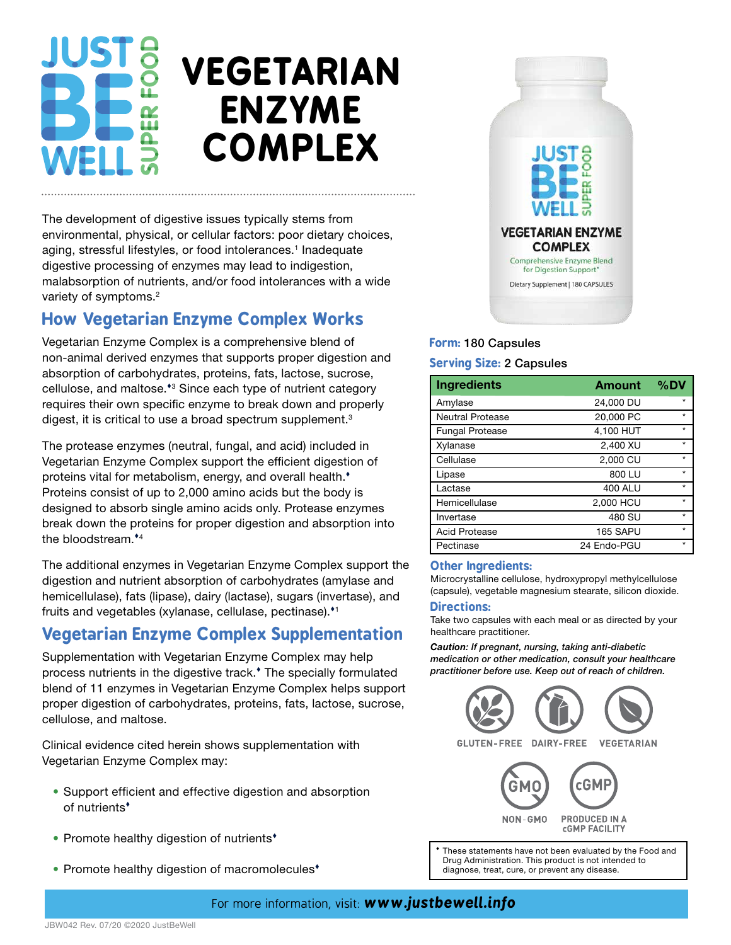# **VEGETARIAN ENZYME COMPLEX**

The development of digestive issues typically stems from environmental, physical, or cellular factors: poor dietary choices, aging, stressful lifestyles, or food intolerances.<sup>1</sup> Inadequate digestive processing of enzymes may lead to indigestion, malabsorption of nutrients, and/or food intolerances with a wide variety of symptoms.<sup>2</sup>

## **How Vegetarian Enzyme Complex Works**

Vegetarian Enzyme Complex is a comprehensive blend of non-animal derived enzymes that supports proper digestion and absorption of carbohydrates, proteins, fats, lactose, sucrose, cellulose, and maltose.<sup>\*</sup><sup>3</sup> Since each type of nutrient category requires their own specific enzyme to break down and properly digest, it is critical to use a broad spectrum supplement.<sup>3</sup>

The protease enzymes (neutral, fungal, and acid) included in Vegetarian Enzyme Complex support the efficient digestion of proteins vital for metabolism, energy, and overall health.<sup>\*</sup> Proteins consist of up to 2,000 amino acids but the body is designed to absorb single amino acids only. Protease enzymes break down the proteins for proper digestion and absorption into the bloodstream.<sup>\*4</sup>

The additional enzymes in Vegetarian Enzyme Complex support the digestion and nutrient absorption of carbohydrates (amylase and hemicellulase), fats (lipase), dairy (lactase), sugars (invertase), and fruits and vegetables (xylanase, cellulase, pectinase).<sup>11</sup>

# **Vegetarian Enzyme Complex Supplementation**

Supplementation with Vegetarian Enzyme Complex may help process nutrients in the digestive track. The specially formulated blend of 11 enzymes in Vegetarian Enzyme Complex helps support proper digestion of carbohydrates, proteins, fats, lactose, sucrose, cellulose, and maltose.

Clinical evidence cited herein shows supplementation with Vegetarian Enzyme Complex may:

- Support efficient and effective digestion and absorption of nutrients
- Promote healthy digestion of nutrients<sup>\*</sup>
- Promote healthy digestion of macromolecules<sup>\*</sup>



## **Form:** 180 Capsules

#### **Serving Size:** 2 Capsules

| <b>Ingredients</b>      | <b>Amount</b> | %DV     |
|-------------------------|---------------|---------|
| Amylase                 | 24,000 DU     | $\star$ |
| <b>Neutral Protease</b> | 20,000 PC     | $\star$ |
| <b>Fungal Protease</b>  | 4,100 HUT     | $\star$ |
| Xylanase                | 2,400 XU      | $\star$ |
| Cellulase               | 2,000 CU      | $\star$ |
| Lipase                  | 800 LU        | $\star$ |
| Lactase                 | 400 ALU       | $\star$ |
| Hemicellulase           | 2,000 HCU     | $\star$ |
| Invertase               | 480 SU        | $\star$ |
| <b>Acid Protease</b>    | 165 SAPU      | $\star$ |
| Pectinase               | 24 Endo-PGU   | $\star$ |

#### **Other Ingredients:**

Microcrystalline cellulose, hydroxypropyl methylcellulose (capsule), vegetable magnesium stearate, silicon dioxide.

#### **Directions:**

Take two capsules with each meal or as directed by your healthcare practitioner.

*Caution: If pregnant, nursing, taking anti-diabetic medication or other medication, consult your healthcare practitioner before use. Keep out of reach of children.*



Drug Administration. This product is not intended to diagnose, treat, cure, or prevent any disease.

### For more information, visit: *www.justbewell.info*